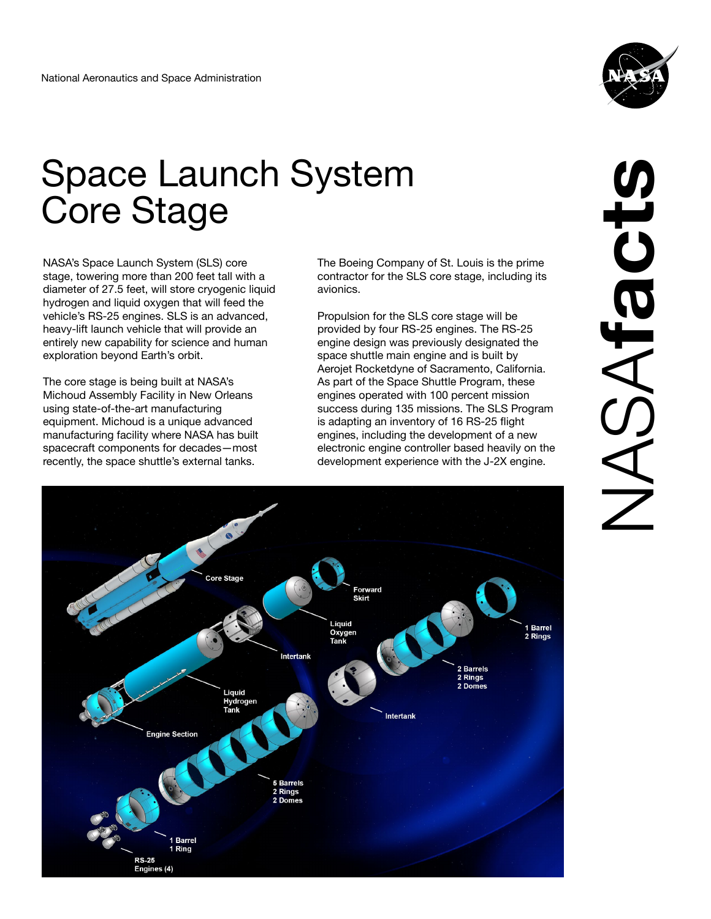

## Space Launch System Core Stage

NASA's Space Launch System (SLS) core stage, towering more than 200 feet tall with a diameter of 27.5 feet, will store cryogenic liquid hydrogen and liquid oxygen that will feed the vehicle's RS-25 engines. SLS is an advanced, heavy-lift launch vehicle that will provide an entirely new capability for science and human exploration beyond Earth's orbit.

The core stage is being built at NASA's Michoud Assembly Facility in New Orleans using state-of-the-art manufacturing equipment. Michoud is a unique advanced manufacturing facility where NASA has built spacecraft components for decades—most recently, the space shuttle's external tanks.

The Boeing Company of St. Louis is the prime contractor for the SLS core stage, including its avionics.

Propulsion for the SLS core stage will be provided by four RS-25 engines. The RS-25 engine design was previously designated the space shuttle main engine and is built by Aerojet Rocketdyne of Sacramento, California. As part of the Space Shuttle Program, these engines operated with 100 percent mission success during 135 missions. The SLS Program is adapting an inventory of 16 RS-25 flight engines, including the development of a new electronic engine controller based heavily on the development experience with the J-2X engine.